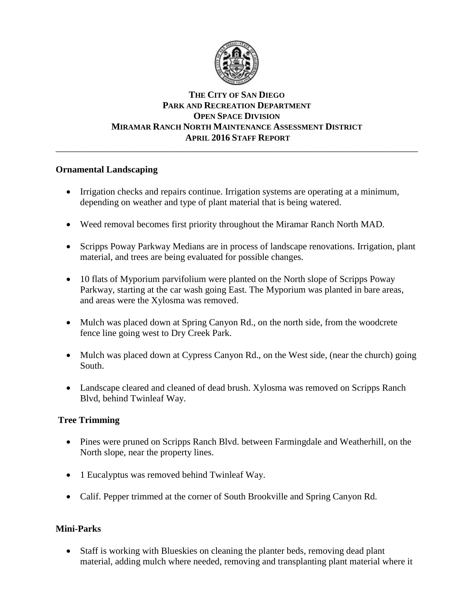

## **THE CITY OF SAN DIEGO PARK AND RECREATION DEPARTMENT OPEN SPACE DIVISION MIRAMAR RANCH NORTH MAINTENANCE ASSESSMENT DISTRICT APRIL 2016 STAFF REPORT** \_\_\_\_\_\_\_\_\_\_\_\_\_\_\_\_\_\_\_\_\_\_\_\_\_\_\_\_\_\_\_\_\_\_\_\_\_\_\_\_\_\_\_\_\_\_\_\_\_\_\_\_\_\_\_\_\_\_\_\_\_\_\_\_\_\_\_\_\_\_\_\_\_\_\_\_\_\_

# **Ornamental Landscaping**

- Irrigation checks and repairs continue. Irrigation systems are operating at a minimum, depending on weather and type of plant material that is being watered.
- Weed removal becomes first priority throughout the Miramar Ranch North MAD.
- Scripps Poway Parkway Medians are in process of landscape renovations. Irrigation, plant material, and trees are being evaluated for possible changes.
- 10 flats of Myporium parvifolium were planted on the North slope of Scripps Poway Parkway, starting at the car wash going East. The Myporium was planted in bare areas, and areas were the Xylosma was removed.
- Mulch was placed down at Spring Canyon Rd., on the north side, from the woodcrete fence line going west to Dry Creek Park.
- Mulch was placed down at Cypress Canyon Rd., on the West side, (near the church) going South.
- Landscape cleared and cleaned of dead brush. Xylosma was removed on Scripps Ranch Blvd, behind Twinleaf Way.

# **Tree Trimming**

- Pines were pruned on Scripps Ranch Blvd. between Farmingdale and Weatherhill, on the North slope, near the property lines.
- 1 Eucalyptus was removed behind Twinleaf Way.
- Calif. Pepper trimmed at the corner of South Brookville and Spring Canyon Rd.

# **Mini-Parks**

 Staff is working with Blueskies on cleaning the planter beds, removing dead plant material, adding mulch where needed, removing and transplanting plant material where it